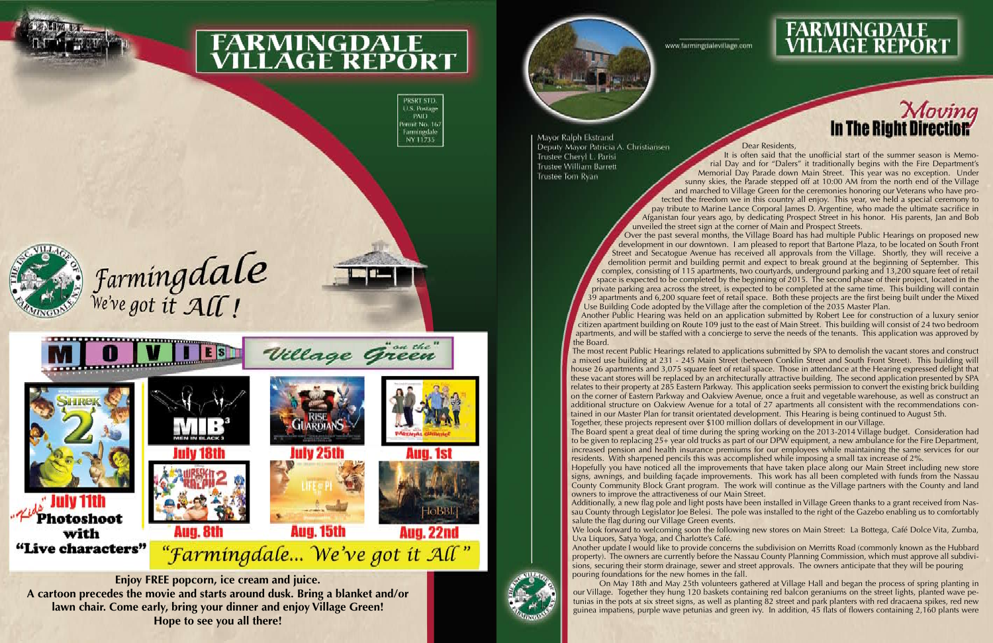

# **FARMINGDALE<br>VILLAGE REPORT**

PRSRT STD. U.S. Postage **PAID** ermit No. 16 Farmingdale NY 11735



Farmingdale



#### Dear Residents,

It is often said that the unofficial start of the summer season is Memorial Day and for "Dalers" it traditionally begins with the Fire Department's Memorial Day Parade down Main Street. This year was no exception. Under sunny skies, the Parade stepped off at 10:00 AM from the north end of the Village

and marched to Village Green for the ceremonies honoring our Veterans who have protected the freedom we in this country all enjoy. This year, we held a special ceremony to pay tribute to Marine Lance Corporal James D. Argentine, who made the ultimate sacrifice in Afganistan four years ago, by dedicating Prospect Street in his honor. His parents, Jan and Bob unveiled the street sign at the corner of Main and Prospect Streets. Over the past several months, the Village Board has had multiple Public Hearings on proposed new development in our downtown. I am pleased to report that Bartone Plaza, to be located on South Front Street and Secatogue Avenue has received all approvals from the Village. Shortly, they will receive a demolition permit and building permit and expect to break ground at the beginning of September. This complex, consisting of 115 apartments, two courtyards, underground parking and 13,200 square feet of retail space is expected to be completed by the beginning of 2015. The second phase of their project, located in the private parking area across the street, is expected to be completed at the same time. This building will contain 39 apartments and 6,200 square feet of retail space. Both these projects are the first being built under the Mixed Use Building Code adopted by the Village after the completion of the 2035 Master Plan. Another Public Hearing was held on an application submitted by Robert Lee for construction of a luxury senior citizen apartment building on Route 109 just to the east of Main Street. This building will consist of 24 two bedroom apartments, and will be staffed with a concierge to serve the needs of the tenants. This application was approved by the Board.

The most recent Public Hearings related to applications submitted by SPA to demolish the vacant stores and construct a mixed use building at 231 - 245 Main Street (between Conklin Street and South Front Street). This building will house 26 apartments and 3,075 square feet of retail space. Those in attendance at the Hearing expressed delight that these vacant stores will be replaced by an architecturally attractive building. The second application presented by SPA relates to their property at 285 Eastern Parkway. This application seeks permission to convert the existing brick building on the corner of Eastern Parkway and Oakview Avenue, once a fruit and vegetable warehouse, as well as construct an additional structure on Oakview Avenue for a total of 27 apartments all consistent with the recommendations contained in our Master Plan for transit orientated development. This Hearing is being continued to August 5th. Together, these projects represent over \$100 million dollars of development in our Village. The Board spent a great deal of time during the spring working on the 2013-2014 Village budget. Consideration had to be given to replacing 25+ year old trucks as part of our DPW equipment, a new ambulance for the Fire Department, increased pension and health insurance premiums for our employees while maintaining the same services for our residents. With sharpened pencils this was accomplished while imposing a small tax increase of 2%. Hopefully you have noticed all the improvements that have taken place along our Main Street including new store signs, awnings, and building façade improvements. This work has all been completed with funds from the Nassau County Community Block Grant program. The work will continue as the Village partners with the County and land owners to improve the attractiveness of our Main Street. Additionally, a new flag pole and light posts have been installed in Village Green thanks to a grant received from Nassau County through Legislator Joe Belesi. The pole was installed to the right of the Gazebo enabling us to comfortably salute the flag during our Village Green events. We look forward to welcoming soon the following new stores on Main Street: La Bottega, Café Dolce Vita, Zumba, Uva Liquors, Satya Yoga, and Charlotte's Café. Another update I would like to provide concerns the subdivision on Merritts Road (commonly known as the Hubbard property). The owners are currently before the Nassau County Planning Commission, which must approve all subdivisions, securing their storm drainage, sewer and street approvals. The owners anticipate that they will be pouring pouring foundations for the new homes in the fall.

On May 18th and May 25th volunteers gathered at Village Hall and began the process of spring planting in our Village. Together they hung 120 baskets containing red balcon geraniums on the street lights, planted wave petunias in the pots at six street signs, as well as planting 82 street and park planters with red dracaena spikes, red new guinea impatiens, purple wave petunias and green ivy. In addition, 45 flats of flowers containing 2,160 plants were

www.farmingdalevillage.com

## **FARMINGDALE<br>VILLAGE REPORT**

# Moving<br>In The Right Direction

**Enjoy FREE popcorn, ice cream and juice. A cartoon precedes the movie and starts around dusk. Bring a blanket and/or lawn chair. Come early, bring your dinner and enjoy Village Green! Hope to see you all there!**



Mayor Ralph Ekstrand Deputy Mayor Patricia A. Christiansen Trustee Cheryl L. Parisi **Trustee William Barrett** Trustee Iom Ryan